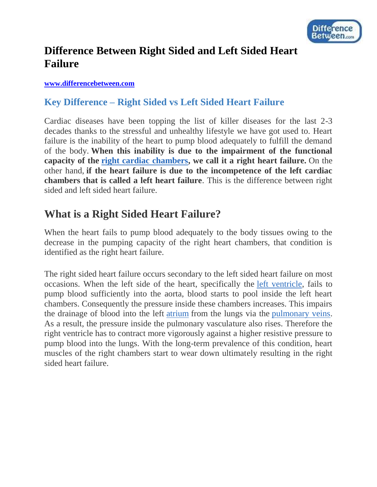

## **Difference Between Right Sided and Left Sided Heart Failure**

#### **[www.differencebetween.com](http://www.differencebetween.com/)**

#### **Key Difference – Right Sided vs Left Sided Heart Failure**

Cardiac diseases have been topping the list of killer diseases for the last 2-3 decades thanks to the stressful and unhealthy lifestyle we have got used to. Heart failure is the inability of the heart to pump blood adequately to fulfill the demand of the body. **When this inability is due to the impairment of the functional capacity of the [right cardiac chambers,](http://www.differencebetween.com/difference-between-left-and-vs-right-side-of-heart/) we call it a right heart failure.** On the other hand, **if the heart failure is due to the incompetence of the left cardiac chambers that is called a left heart failure**. This is the difference between right sided and left sided heart failure.

### **What is a Right Sided Heart Failure?**

When the heart fails to pump blood adequately to the body tissues owing to the decrease in the pumping capacity of the right heart chambers, that condition is identified as the right heart failure.

The right sided heart failure occurs secondary to the left sided heart failure on most occasions. When the left side of the heart, specifically the [left ventricle,](http://www.differencebetween.com/difference-between-left-and-vs-right-ventricle/) fails to pump blood sufficiently into the aorta, blood starts to pool inside the left heart chambers. Consequently the pressure inside these chambers increases. This impairs the drainage of blood into the left [atrium](http://www.differencebetween.com/difference-between-auricle-and-vs-atrium/) from the lungs via the [pulmonary veins.](http://www.differencebetween.com/difference-between-pulmonary-artery-and-vs-pulmonary-vein/) As a result, the pressure inside the pulmonary vasculature also rises. Therefore the right ventricle has to contract more vigorously against a higher resistive pressure to pump blood into the lungs. With the long-term prevalence of this condition, heart muscles of the right chambers start to wear down ultimately resulting in the right sided heart failure.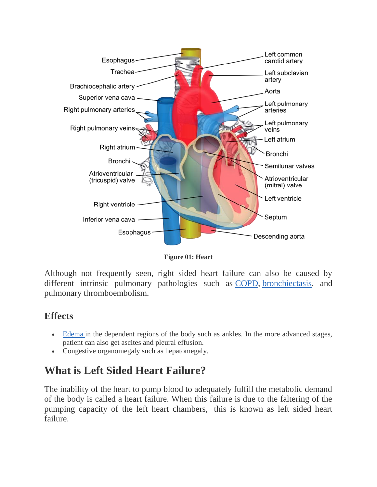

**Figure 01: Heart**

Although not frequently seen, right sided heart failure can also be caused by different intrinsic pulmonary pathologies such as [COPD,](http://www.differencebetween.com/difference-between-copd-and-vs-asthma/) [bronchiectasis,](http://www.differencebetween.com/difference-between-bronchitis-and-vs-bronchiectasis/#Bronchiectasis) and pulmonary thromboembolism.

#### **Effects**

- [Edema](http://www.differencebetween.com/difference-between-edema-and-swelling/) in the dependent regions of the body such as ankles. In the more advanced stages, patient can also get ascites and pleural effusion.
- Congestive organomegaly such as hepatomegaly.

## **What is Left Sided Heart Failure?**

The inability of the heart to pump blood to adequately fulfill the metabolic demand of the body is called a heart failure. When this failure is due to the faltering of the pumping capacity of the left heart chambers, this is known as left sided heart failure.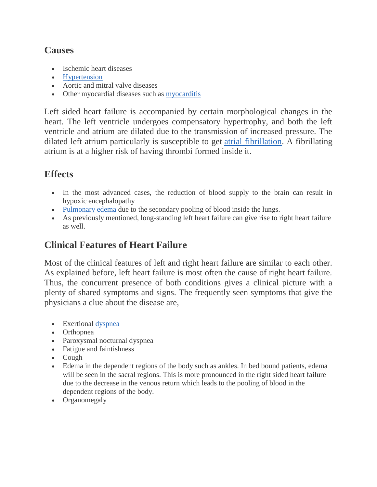#### **Causes**

- Ischemic heart diseases
- [Hypertension](http://www.differencebetween.com/difference-between-hypertension-and-vs-high-blood-pressure/)
- Aortic and mitral valve diseases
- Other myocardial diseases such as [myocarditis](http://www.differencebetween.com/difference-between-myocarditis-and-vs-cardiomyopathy/)

Left sided heart failure is accompanied by certain morphological changes in the heart. The left ventricle undergoes compensatory hypertrophy, and both the left ventricle and atrium are dilated due to the transmission of increased pressure. The dilated left atrium particularly is susceptible to get [atrial fibrillation.](http://www.differencebetween.com/difference-between-atrial-fibrillation-and-atrial-flutter/) A fibrillating atrium is at a higher risk of having thrombi formed inside it.

### **Effects**

- In the most advanced cases, the reduction of blood supply to the brain can result in hypoxic encephalopathy
- [Pulmonary edema](http://www.differencebetween.com/difference-between-pleural-effusion-and-vs-pulmonary-edema/) due to the secondary pooling of blood inside the lungs.
- As previously mentioned, long-standing left heart failure can give rise to right heart failure as well.

## **Clinical Features of Heart Failure**

Most of the clinical features of left and right heart failure are similar to each other. As explained before, left heart failure is most often the cause of right heart failure. Thus, the concurrent presence of both conditions gives a clinical picture with a plenty of shared symptoms and signs. The frequently seen symptoms that give the physicians a clue about the disease are,

- Exertional [dyspnea](http://www.differencebetween.com/difference-between-apnea-and-vs-dyspnea/)
- Orthopnea
- Paroxysmal nocturnal dyspnea
- Fatigue and faintishness
- Cough
- Edema in the dependent regions of the body such as ankles. In bed bound patients, edema will be seen in the sacral regions. This is more pronounced in the right sided heart failure due to the decrease in the venous return which leads to the pooling of blood in the dependent regions of the body.
- Organomegaly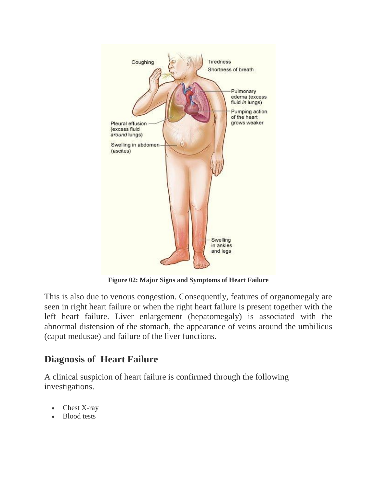

**Figure 02: Major Signs and Symptoms of Heart Failure**

This is also due to venous congestion. Consequently, features of organomegaly are seen in right heart failure or when the right heart failure is present together with the left heart failure. Liver enlargement (hepatomegaly) is associated with the abnormal distension of the stomach, the appearance of veins around the umbilicus (caput medusae) and failure of the liver functions.

### **Diagnosis of Heart Failure**

A clinical suspicion of heart failure is confirmed through the following investigations.

- Chest X-ray
- Blood tests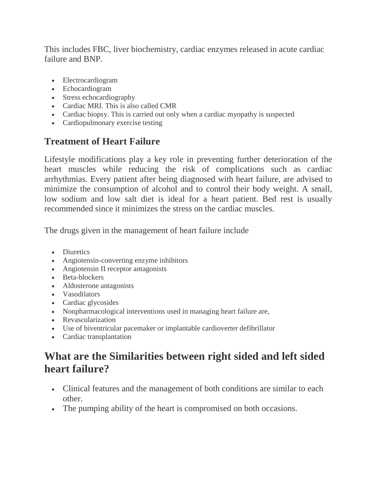This includes FBC, liver biochemistry, cardiac enzymes released in acute cardiac failure and BNP.

- Electrocardiogram
- Echocardiogram
- Stress echocardiography
- Cardiac MRI. This is also called CMR
- Cardiac biopsy. This is carried out only when a cardiac myopathy is suspected
- Cardiopulmonary exercise testing

## **Treatment of Heart Failure**

Lifestyle modifications play a key role in preventing further deterioration of the heart muscles while reducing the risk of complications such as cardiac arrhythmias. Every patient after being diagnosed with heart failure, are advised to minimize the consumption of alcohol and to control their body weight. A small, low sodium and low salt diet is ideal for a heart patient. Bed rest is usually recommended since it minimizes the stress on the cardiac muscles.

The drugs given in the management of heart failure include

- Diuretics
- Angiotensin-converting enzyme inhibitors
- Angiotensin II receptor antagonists
- Beta-blockers
- Aldosterone antagonists
- Vasodilators
- Cardiac glycosides
- Nonpharmacological interventions used in managing heart failure are,
- Revascularization
- Use of biventricular pacemaker or implantable cardioverter defibrillator
- Cardiac transplantation

# **What are the Similarities between right sided and left sided heart failure?**

- Clinical features and the management of both conditions are similar to each other.
- The pumping ability of the heart is compromised on both occasions.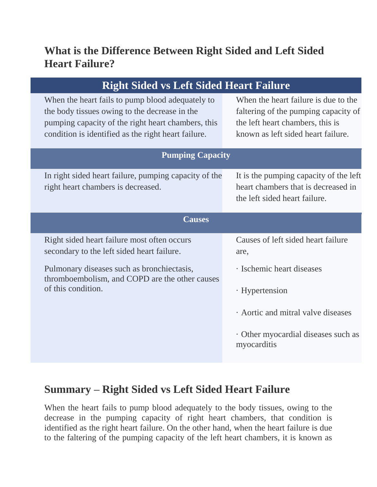## **What is the Difference Between Right Sided and Left Sided Heart Failure?**

| <b>Right Sided vs Left Sided Heart Failure</b>                                                                                                                                                                 |                                                                                                                                                        |
|----------------------------------------------------------------------------------------------------------------------------------------------------------------------------------------------------------------|--------------------------------------------------------------------------------------------------------------------------------------------------------|
| When the heart fails to pump blood adequately to<br>the body tissues owing to the decrease in the<br>pumping capacity of the right heart chambers, this<br>condition is identified as the right heart failure. | When the heart failure is due to the<br>faltering of the pumping capacity of<br>the left heart chambers, this is<br>known as left sided heart failure. |
| <b>Pumping Capacity</b>                                                                                                                                                                                        |                                                                                                                                                        |
| In right sided heart failure, pumping capacity of the<br>right heart chambers is decreased.                                                                                                                    | It is the pumping capacity of the left<br>heart chambers that is decreased in<br>the left sided heart failure.                                         |
| <b>Causes</b>                                                                                                                                                                                                  |                                                                                                                                                        |
| Right sided heart failure most often occurs<br>secondary to the left sided heart failure.                                                                                                                      | Causes of left sided heart failure<br>are,                                                                                                             |
| Pulmonary diseases such as bronchiectasis,<br>thromboembolism, and COPD are the other causes                                                                                                                   | · Ischemic heart diseases                                                                                                                              |
| of this condition.                                                                                                                                                                                             | · Hypertension                                                                                                                                         |
|                                                                                                                                                                                                                | Aortic and mitral valve diseases                                                                                                                       |
|                                                                                                                                                                                                                | Other myocardial diseases such as<br>myocarditis                                                                                                       |

## **Summary – Right Sided vs Left Sided Heart Failure**

When the heart fails to pump blood adequately to the body tissues, owing to the decrease in the pumping capacity of right heart chambers, that condition is identified as the right heart failure. On the other hand, when the heart failure is due to the faltering of the pumping capacity of the left heart chambers, it is known as